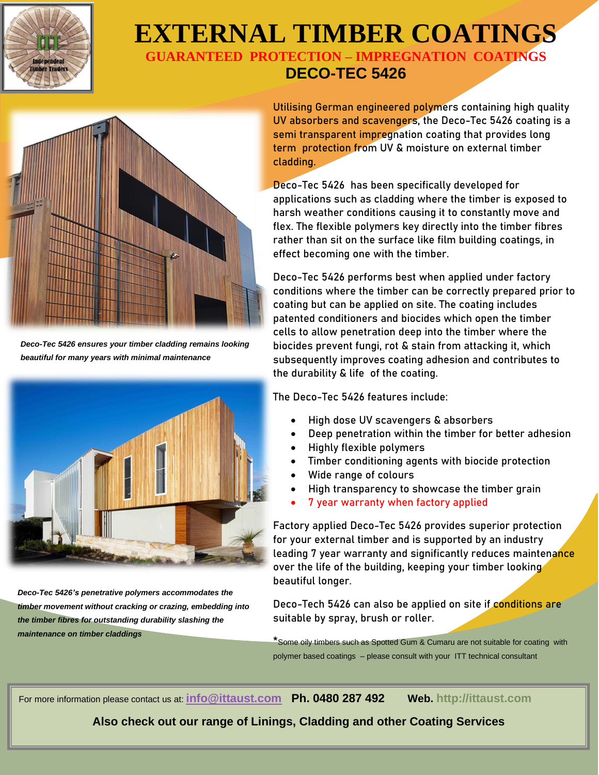

## **EXTERNAL TIMBER COATINGS GUARANTEED PROTECTION – IMPREGNATION COATINGS**

## **DECO-TEC 5426**



*Deco-Tec 5426 ensures your timber cladding remains looking beautiful for many years with minimal maintenance*



*Deco-Tec 5426's penetrative polymers accommodates the timber movement without cracking or crazing, embedding into the timber fibres for outstanding durability slashing the maintenance on timber claddings*

**Utilising German engineered polymers containing high quality UV absorbers and scavengers, the Deco-Tec 5426 coating is a semi transparent impregnation coating that provides long term protection from UV & moisture on external timber cladding.**

**Deco-Tec 5426 has been specifically developed for applications such as cladding where the timber is exposed to harsh weather conditions causing it to constantly move and flex. The flexible polymers key directly into the timber fibres rather than sit on the surface like film building coatings, in effect becoming one with the timber.**

**Deco-Tec 5426 performs best when applied under factory conditions where the timber can be correctly prepared prior to coating but can be applied on site. The coating includes patented conditioners and biocides which open the timber cells to allow penetration deep into the timber where the biocides prevent fungi, rot & stain from attacking it, which subsequently improves coating adhesion and contributes to the durability & life of the coating.**

**The Deco-Tec 5426 features include:**

- **High dose UV scavengers & absorbers**
- **Deep penetration within the timber for better adhesion**
- **Highly flexible polymers**
- **Timber conditioning agents with biocide protection**
- **Wide range of colours**
- **High transparency to showcase the timber grain**
- **7 year warranty when factory applied**

**Factory applied Deco-Tec 5426 provides superior protection for your external timber and is supported by an industry leading 7 year warranty and significantly reduces maintenance over the life of the building, keeping your timber looking beautiful longer.**

**Deco-Tech 5426 can also be applied on site if conditions are suitable by spray, brush or roller.**

**\***Some oily timbers such as Spotted Gum & Cumaru are not suitable for coating with polymer based coatings – please consult with your ITT technical consultant

For more information please contact us at: **[info@ittaust.com](mailto:info@ittaust.com) Ph. 0480 287 492 Web. http://ittaust.com**

**Also check out our range of Linings, Cladding and other Coating Services**